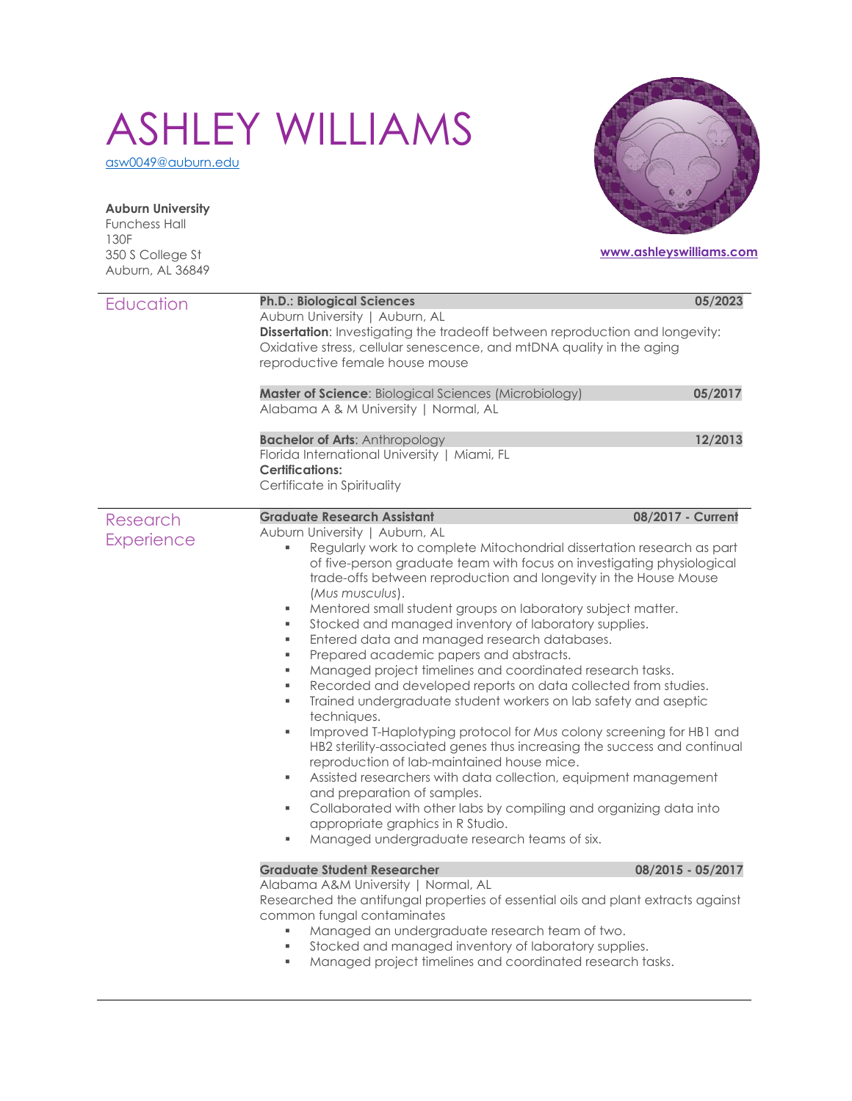# ASHLEY WILLIAMS

[asw0049@auburn.edu](mailto:asw0049@auburn.edu)

**Auburn University** Funchess Hall

350 S College St Auburn, AL 36849

130F

## **[www.ashleyswilliams.com](http://www.ashleyswilliams.com/)**

| Education                     | <b>Ph.D.: Biological Sciences</b><br>Auburn University   Auburn, AL<br>Dissertation: Investigating the tradeoff between reproduction and longevity:<br>Oxidative stress, cellular senescence, and mtDNA quality in the aging<br>reproductive female house mouse<br>Master of Science: Biological Sciences (Microbiology)                                                                                                                                                                                                                                                                                                                                                                                                                                                                                                                                                                                                                                                                                                                                                                                                                                                                                                                                                  | 05/2023<br>05/2017 |  |  |  |  |
|-------------------------------|---------------------------------------------------------------------------------------------------------------------------------------------------------------------------------------------------------------------------------------------------------------------------------------------------------------------------------------------------------------------------------------------------------------------------------------------------------------------------------------------------------------------------------------------------------------------------------------------------------------------------------------------------------------------------------------------------------------------------------------------------------------------------------------------------------------------------------------------------------------------------------------------------------------------------------------------------------------------------------------------------------------------------------------------------------------------------------------------------------------------------------------------------------------------------------------------------------------------------------------------------------------------------|--------------------|--|--|--|--|
|                               | Alabama A & M University   Normal, AL                                                                                                                                                                                                                                                                                                                                                                                                                                                                                                                                                                                                                                                                                                                                                                                                                                                                                                                                                                                                                                                                                                                                                                                                                                     |                    |  |  |  |  |
|                               | <b>Bachelor of Arts: Anthropology</b><br>Florida International University   Miami, FL<br><b>Certifications:</b><br>Certificate in Spirituality                                                                                                                                                                                                                                                                                                                                                                                                                                                                                                                                                                                                                                                                                                                                                                                                                                                                                                                                                                                                                                                                                                                            | 12/2013            |  |  |  |  |
| Research<br><b>Experience</b> | <b>Graduate Research Assistant</b><br>Auburn University   Auburn, AL<br>Regularly work to complete Mitochondrial dissertation research as part<br>of five-person graduate team with focus on investigating physiological<br>trade-offs between reproduction and longevity in the House Mouse<br>(Mus musculus).<br>Mentored small student groups on laboratory subject matter.<br>٠<br>Stocked and managed inventory of laboratory supplies.<br>٠<br>Entered data and managed research databases.<br>٠<br>Prepared academic papers and abstracts.<br>٠<br>Managed project timelines and coordinated research tasks.<br>٠<br>Recorded and developed reports on data collected from studies.<br>٠<br>Trained undergraduate student workers on lab safety and aseptic<br>٠<br>techniques.<br>Improved T-Haplotyping protocol for Mus colony screening for HB1 and<br>٠<br>HB2 sterility-associated genes thus increasing the success and continual<br>reproduction of lab-maintained house mice.<br>Assisted researchers with data collection, equipment management<br>٠<br>and preparation of samples.<br>Collaborated with other labs by compiling and organizing data into<br>٠<br>appropriate graphics in R Studio.<br>Managed undergraduate research teams of six.<br>٠ | 08/2017 - Current  |  |  |  |  |
|                               | <b>Graduate Student Researcher</b><br>08/2015 - 05/2017<br>Alabama A&M University   Normal, AL<br>Researched the antifungal properties of essential oils and plant extracts against<br>common fungal contaminates<br>Managed an undergraduate research team of two.<br>Stocked and managed inventory of laboratory supplies.<br>٠<br>Managed project timelines and coordinated research tasks.<br>٠                                                                                                                                                                                                                                                                                                                                                                                                                                                                                                                                                                                                                                                                                                                                                                                                                                                                       |                    |  |  |  |  |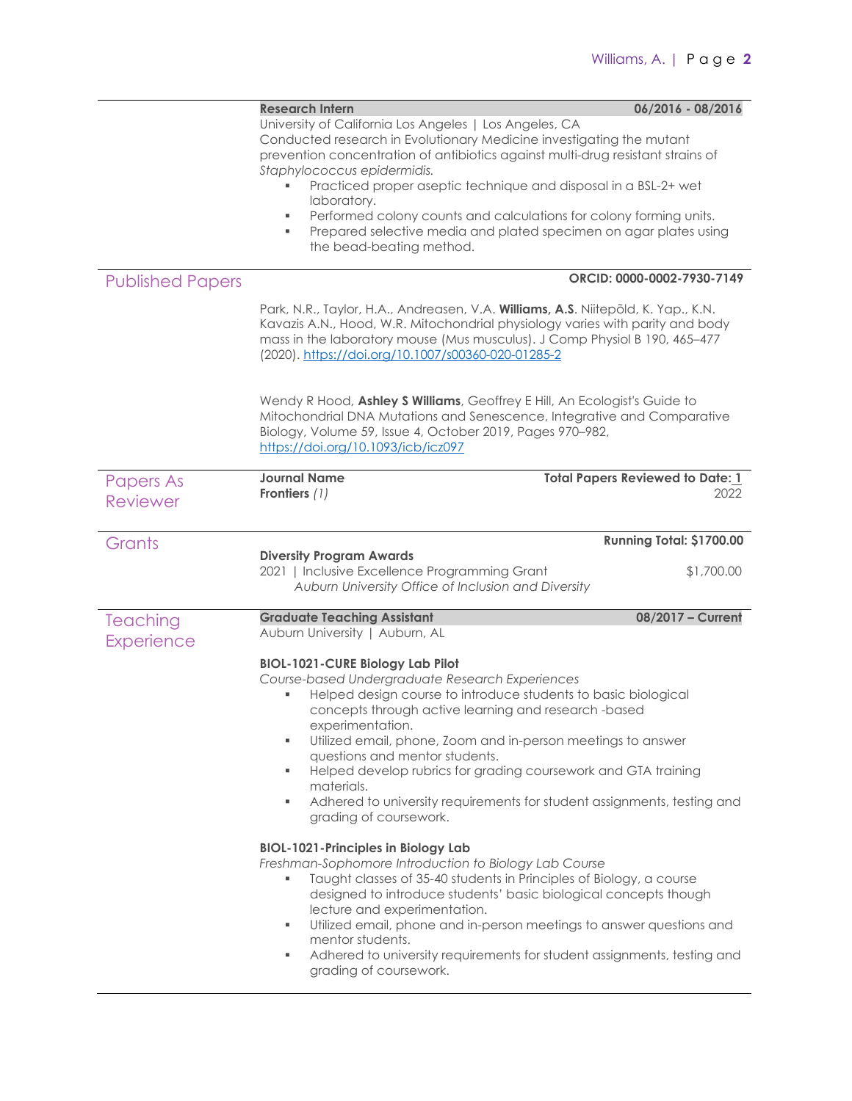|                         | <b>Research Intern</b>                                                                                                                                                                                                                                                                                                                                                                                                                                                                                                                          | 06/2016 - 08/2016                       |
|-------------------------|-------------------------------------------------------------------------------------------------------------------------------------------------------------------------------------------------------------------------------------------------------------------------------------------------------------------------------------------------------------------------------------------------------------------------------------------------------------------------------------------------------------------------------------------------|-----------------------------------------|
|                         | University of California Los Angeles   Los Angeles, CA<br>Conducted research in Evolutionary Medicine investigating the mutant<br>prevention concentration of antibiotics against multi-drug resistant strains of<br>Staphylococcus epidermidis.                                                                                                                                                                                                                                                                                                |                                         |
|                         | Practiced proper aseptic technique and disposal in a BSL-2+ wet<br>laboratory.                                                                                                                                                                                                                                                                                                                                                                                                                                                                  |                                         |
|                         | Performed colony counts and calculations for colony forming units.<br>٠<br>Prepared selective media and plated specimen on agar plates using<br>٠<br>the bead-beating method.                                                                                                                                                                                                                                                                                                                                                                   |                                         |
| <b>Published Papers</b> |                                                                                                                                                                                                                                                                                                                                                                                                                                                                                                                                                 | ORCID: 0000-0002-7930-7149              |
|                         | Park, N.R., Taylor, H.A., Andreasen, V.A. Williams, A.S. Niitepõld, K. Yap., K.N.<br>Kavazis A.N., Hood, W.R. Mitochondrial physiology varies with parity and body<br>mass in the laboratory mouse (Mus musculus). J Comp Physiol B 190, 465-477<br>(2020). https://doi.org/10.1007/s00360-020-01285-2                                                                                                                                                                                                                                          |                                         |
|                         | Wendy R Hood, Ashley S Williams, Geoffrey E Hill, An Ecologist's Guide to<br>Mitochondrial DNA Mutations and Senescence, Integrative and Comparative<br>Biology, Volume 59, Issue 4, October 2019, Pages 970-982,<br>https://doi.org/10.1093/icb/icz097                                                                                                                                                                                                                                                                                         |                                         |
| <b>Papers As</b>        | <b>Journal Name</b>                                                                                                                                                                                                                                                                                                                                                                                                                                                                                                                             | <b>Total Papers Reviewed to Date: 1</b> |
| <b>Reviewer</b>         | Frontiers (1)                                                                                                                                                                                                                                                                                                                                                                                                                                                                                                                                   | 2022                                    |
| Grants                  |                                                                                                                                                                                                                                                                                                                                                                                                                                                                                                                                                 | Running Total: \$1700.00                |
|                         | <b>Diversity Program Awards</b><br>2021   Inclusive Excellence Programming Grant<br>Auburn University Office of Inclusion and Diversity                                                                                                                                                                                                                                                                                                                                                                                                         | \$1,700.00                              |
| Teaching                | <b>Graduate Teaching Assistant</b>                                                                                                                                                                                                                                                                                                                                                                                                                                                                                                              | 08/2017 - Current                       |
| <b>Experience</b>       | Auburn University   Auburn, AL                                                                                                                                                                                                                                                                                                                                                                                                                                                                                                                  |                                         |
|                         | <b>BIOL-1021-CURE Biology Lab Pilot</b><br>Course-based Undergraduate Research Experiences<br>Helped design course to introduce students to basic biological<br>concepts through active learning and research -based<br>experimentation.<br>Utilized email, phone, Zoom and in-person meetings to answer<br>٠<br>questions and mentor students.<br>Helped develop rubrics for grading coursework and GTA training<br>٠<br>materials.<br>Adhered to university requirements for student assignments, testing and<br>۰.<br>grading of coursework. |                                         |
|                         | <b>BIOL-1021-Principles in Biology Lab</b><br>Freshman-Sophomore Introduction to Biology Lab Course<br>Taught classes of 35-40 students in Principles of Biology, a course<br>designed to introduce students' basic biological concepts though<br>lecture and experimentation.<br>Utilized email, phone and in-person meetings to answer questions and<br>۰.<br>mentor students.<br>Adhered to university requirements for student assignments, testing and<br>٠<br>grading of coursework.                                                      |                                         |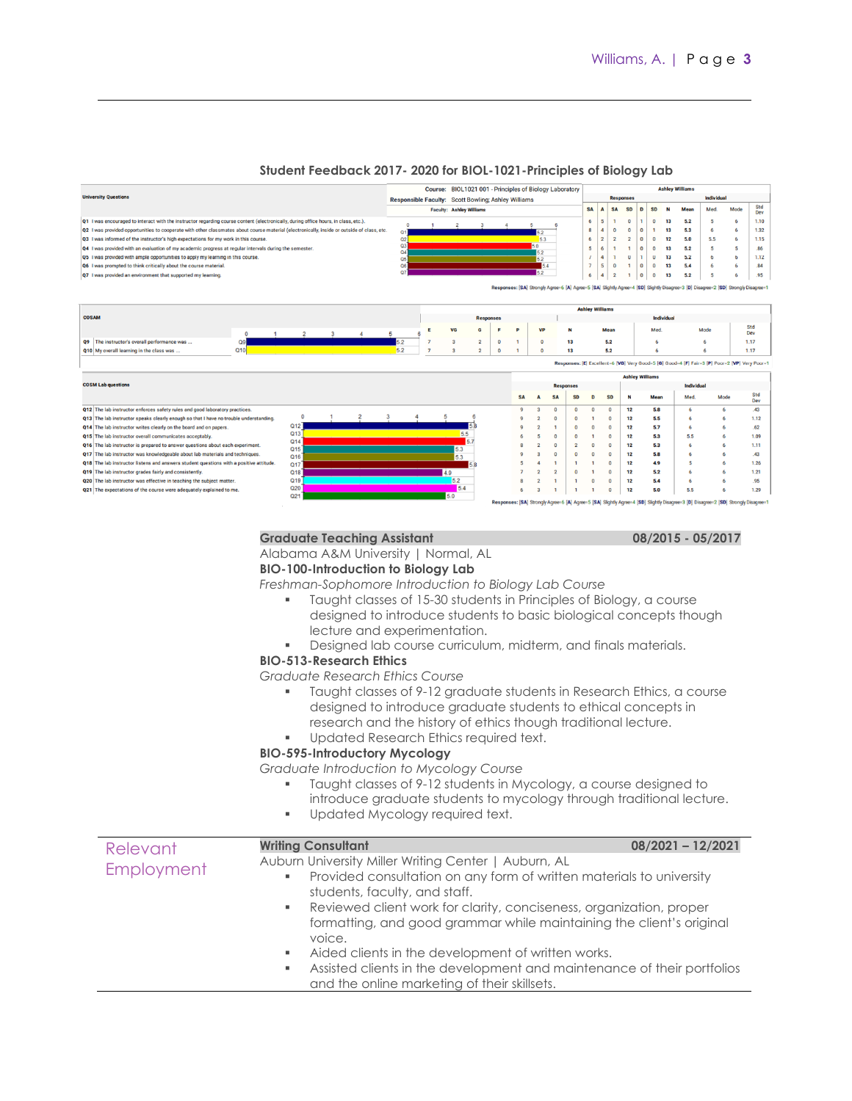#### **Student Feedback 2017- 2020 for BIOL-1021-Principles of Biology Lab**

| <b>University Questions</b><br>Individual<br><b>Responses</b><br>Responsible Faculty: Scott Bowling; Ashley Williams<br>Std<br><b>SA</b><br>A<br>Mode<br><b>SD</b><br><b>SD</b><br>Med.<br><b>Faculty: Ashley Williams</b><br><b>SA</b><br>Mean<br>D<br>Dev<br>Q1 I was encouraged to interact with the instructor regarding course content (electronically, during office hours, in class, etc.).<br>6<br>5<br>$\Omega$<br>13<br>1.10<br>O<br>5.2<br>Б<br>$\Omega$<br>1.32<br>Q2 I was provided opportunities to cooperate with other classmates about course material (electronically, inside or outside of class, etc.<br>8<br>$\boldsymbol{A}$<br>0<br>13<br>$\Omega$<br>$\Omega$<br>5.3<br>6<br>6<br>Q <sub>1</sub><br>52<br>$\overline{2}$<br>Q3 I was informed of the instructor's high expectations for my work in this course.<br>$\overline{2}$<br>5.5<br>1.15<br>Q <sub>2</sub><br>5.3<br>6<br>$\overline{2}$<br>$\circ$<br>12<br>5.0<br>$\Omega$<br>6<br>Q <sub>3</sub><br>5.0<br>Q4 I was provided with an evaluation of my academic progress at regular intervals during the semester.<br>5<br>6<br>13<br>.86<br>$\Omega$<br>$\Omega$<br>5.2<br>5<br>5<br>$\mathbf{1}$<br>Q <sub>4</sub><br>52<br>Ü<br>Q5 I was provided with ample opportunities to apply my learning in this course.<br>$\overline{a}$<br>$\mathbf{u}$<br>13<br>1.12<br>5.2<br>h<br>h<br>05<br>5.2<br>$\overline{7}$<br>5<br>.84<br>Q6 I was prompted to think critically about the course material.<br>Q6<br>$\Omega$<br>13<br>54<br>$\mathbf{1}$<br>$\mathbf{0}$<br>5.4<br>6<br>6<br>$Q$ 7<br>5.2<br>Q7 I was provided an environment that supported my learning.<br>$\boldsymbol{\Lambda}$<br>.95<br>6<br>$\Omega$<br>$\Omega$<br>13<br>5.2<br>$\overline{2}$<br>п.<br>5<br>Responses: [SA] Strongly Agree=6 [A] Agree=5 [SA] Slightly Agree=4 [SD] Slightly Disagree=3 [D] Disagree=2 [SD] Strongly Disagree=1<br><b>Ashley Williams</b><br><b>COSAM</b><br>Individual<br><b>Responses</b><br>Std<br>VG<br>P<br><b>VP</b><br>Mode<br>G<br>F<br>N<br>Mean<br>Med.<br>Ε<br>Dev<br>$\overline{2}$<br>$\overline{\mathbf{3}}$<br>$\overline{4}$<br>5<br>$\mathbf 0$<br>$\mathbf{1}$<br>Q9 The instructor's overall performance was<br>Q <sub>9</sub><br>5.2<br>5.2<br>1.17<br>$\mathbf{a}$<br>$\overline{2}$<br>$\circ$<br>13<br>6<br>$\Omega$<br>6<br>5.2<br>Q10<br>Q10 My overall learning in the class was<br>3<br>$\overline{2}$<br>$\mathbf{0}$<br>13<br>5.2<br>1.17<br>$\Omega$<br>6<br>6<br>Responses: [E] Excellent-6 [VG] Very Good-5 [G] Good-4 [F] Fair-3 [P] Poor-2 [VP] Very Poor-1<br><b>Ashley Williams</b><br><b>COSM Lab questions</b><br>Individual<br><b>Responses</b><br>Std<br>Mode<br><b>SA</b><br><b>SD</b><br>Mean<br><b>SD</b><br>D<br>N<br>Med.<br>$\Delta$<br><b>SA</b><br>Dev<br>Q12 The lab instructor enforces safety rules and good laboratory practices.<br>12<br>$\overline{\mathbf{3}}$<br>$\Omega$<br>$\Omega$<br>5.8<br>6<br>6<br>43<br>$\mathbf 0$<br>$\Omega$<br>$\Omega$<br>Q13 The lab instructor speaks clearly enough so that I have no trouble understanding.<br>$\overline{2}$<br>12<br>5.5<br>1.12<br>$\Omega$<br>$\Omega$<br>6<br>-6<br>$\Omega$<br>Q <sub>12</sub><br>5.7<br>62<br>Q14 The lab instructor writes clearly on the board and on papers.<br>$\overline{2}$<br>$\Omega$<br>12<br>6<br>$\Omega$<br>1<br>$\Omega$<br>Q <sub>13</sub><br>5.5<br>Q15 The lab instructor overall communicates acceptably.<br>12<br>5.3<br>5.5<br>$\Omega$<br>1.09<br>5<br>$\circ$<br>$\Omega$<br>Q <sub>14</sub><br>57<br>Q16 The lab instructor is prepared to answer questions about each experiment.<br>$\overline{2}$<br>$\overline{2}$<br>12<br>5.3<br>$\Omega$<br>$\Omega$<br>$\Omega$<br>6<br>1.11<br>Q <sub>15</sub><br>5.3<br>Q17 The lab instructor was knowledgeable about lab materials and techniques.<br>12<br>5.8<br>я<br>$\theta$<br>$\Omega$<br>$\mathbf{0}$<br>$\Omega$<br>6<br>43<br>Q16<br>5.3<br>Q18 The lab instructor listens and answers student questions with a positive attitude.<br>12<br>4.9<br>5<br>1.26<br>$\Omega$<br>Q <sub>17</sub><br>Q19 The lab instructor grades fairly and consistently.<br>Q18<br>12<br>4.9<br>$\overline{2}$<br>$\overline{2}$<br>$\Omega$<br>$\Omega$<br>5.2<br>6<br>1.21<br>5.2<br>Q19<br>Q20 The lab instructor was effective in teaching the subject matter.<br>$\overline{2}$<br>12<br>5.4<br>.95<br>1<br>$\Omega$<br>$\Omega$<br>6<br>$\mathbf{1}$<br>5.4<br>Q20<br>12<br>5.0<br>5.5<br>1.29<br>Q21 The expectations of the course were adequately explained to me.<br>з<br>Q21<br>5.0<br>Responses: [SA] Strongly Agree=6 [A] Agree=5 [SA] Slightly Agree=4 [SD] Slightly Disagree=3 [D] Disagree=2 [SD] Strongly Disagree=1 |  |  |  |  |  |  | Course: BIOL1021 001 - Principles of Biology Laboratory |  |  |  |  |  |  |  |  | <b>Ashley Williams</b> |  |  |  |
|-------------------------------------------------------------------------------------------------------------------------------------------------------------------------------------------------------------------------------------------------------------------------------------------------------------------------------------------------------------------------------------------------------------------------------------------------------------------------------------------------------------------------------------------------------------------------------------------------------------------------------------------------------------------------------------------------------------------------------------------------------------------------------------------------------------------------------------------------------------------------------------------------------------------------------------------------------------------------------------------------------------------------------------------------------------------------------------------------------------------------------------------------------------------------------------------------------------------------------------------------------------------------------------------------------------------------------------------------------------------------------------------------------------------------------------------------------------------------------------------------------------------------------------------------------------------------------------------------------------------------------------------------------------------------------------------------------------------------------------------------------------------------------------------------------------------------------------------------------------------------------------------------------------------------------------------------------------------------------------------------------------------------------------------------------------------------------------------------------------------------------------------------------------------------------------------------------------------------------------------------------------------------------------------------------------------------------------------------------------------------------------------------------------------------------------------------------------------------------------------------------------------------------------------------------------------------------------------------------------------------------------------------------------------------------------------------------------------------------------------------------------------------------------------------------------------------------------------------------------------------------------------------------------------------------------------------------------------------------------------------------------------------------------------------------------------------------------------------------------------------------------------------------------------------------------------------------------------------------------------------------------------------------------------------------------------------------------------------------------------------------------------------------------------------------------------------------------------------------------------------------------------------------------------------------------------------------------------------------------------------------------------------------------------------------------------------------------------------------------------------------------------------------------------------------------------------------------------------------------------------------------------------------------------------------------------------------------------------------------------------------------------------------------------------------------------------------------------------------------------------------------------------------------------------------------------------------------------------------------------------------------------------------------------------------------------------------------------------------------------------------------------------------------------------------------------------------------------------------------------------------------------------------------------------------------------------------------------------------------------------------------------------------------------------------------------------------------------|--|--|--|--|--|--|---------------------------------------------------------|--|--|--|--|--|--|--|--|------------------------|--|--|--|
|                                                                                                                                                                                                                                                                                                                                                                                                                                                                                                                                                                                                                                                                                                                                                                                                                                                                                                                                                                                                                                                                                                                                                                                                                                                                                                                                                                                                                                                                                                                                                                                                                                                                                                                                                                                                                                                                                                                                                                                                                                                                                                                                                                                                                                                                                                                                                                                                                                                                                                                                                                                                                                                                                                                                                                                                                                                                                                                                                                                                                                                                                                                                                                                                                                                                                                                                                                                                                                                                                                                                                                                                                                                                                                                                                                                                                                                                                                                                                                                                                                                                                                                                                                                                                                                                                                                                                                                                                                                                                                                                                                                                                                                                                                                   |  |  |  |  |  |  |                                                         |  |  |  |  |  |  |  |  |                        |  |  |  |
|                                                                                                                                                                                                                                                                                                                                                                                                                                                                                                                                                                                                                                                                                                                                                                                                                                                                                                                                                                                                                                                                                                                                                                                                                                                                                                                                                                                                                                                                                                                                                                                                                                                                                                                                                                                                                                                                                                                                                                                                                                                                                                                                                                                                                                                                                                                                                                                                                                                                                                                                                                                                                                                                                                                                                                                                                                                                                                                                                                                                                                                                                                                                                                                                                                                                                                                                                                                                                                                                                                                                                                                                                                                                                                                                                                                                                                                                                                                                                                                                                                                                                                                                                                                                                                                                                                                                                                                                                                                                                                                                                                                                                                                                                                                   |  |  |  |  |  |  |                                                         |  |  |  |  |  |  |  |  |                        |  |  |  |
|                                                                                                                                                                                                                                                                                                                                                                                                                                                                                                                                                                                                                                                                                                                                                                                                                                                                                                                                                                                                                                                                                                                                                                                                                                                                                                                                                                                                                                                                                                                                                                                                                                                                                                                                                                                                                                                                                                                                                                                                                                                                                                                                                                                                                                                                                                                                                                                                                                                                                                                                                                                                                                                                                                                                                                                                                                                                                                                                                                                                                                                                                                                                                                                                                                                                                                                                                                                                                                                                                                                                                                                                                                                                                                                                                                                                                                                                                                                                                                                                                                                                                                                                                                                                                                                                                                                                                                                                                                                                                                                                                                                                                                                                                                                   |  |  |  |  |  |  |                                                         |  |  |  |  |  |  |  |  |                        |  |  |  |
|                                                                                                                                                                                                                                                                                                                                                                                                                                                                                                                                                                                                                                                                                                                                                                                                                                                                                                                                                                                                                                                                                                                                                                                                                                                                                                                                                                                                                                                                                                                                                                                                                                                                                                                                                                                                                                                                                                                                                                                                                                                                                                                                                                                                                                                                                                                                                                                                                                                                                                                                                                                                                                                                                                                                                                                                                                                                                                                                                                                                                                                                                                                                                                                                                                                                                                                                                                                                                                                                                                                                                                                                                                                                                                                                                                                                                                                                                                                                                                                                                                                                                                                                                                                                                                                                                                                                                                                                                                                                                                                                                                                                                                                                                                                   |  |  |  |  |  |  |                                                         |  |  |  |  |  |  |  |  |                        |  |  |  |
|                                                                                                                                                                                                                                                                                                                                                                                                                                                                                                                                                                                                                                                                                                                                                                                                                                                                                                                                                                                                                                                                                                                                                                                                                                                                                                                                                                                                                                                                                                                                                                                                                                                                                                                                                                                                                                                                                                                                                                                                                                                                                                                                                                                                                                                                                                                                                                                                                                                                                                                                                                                                                                                                                                                                                                                                                                                                                                                                                                                                                                                                                                                                                                                                                                                                                                                                                                                                                                                                                                                                                                                                                                                                                                                                                                                                                                                                                                                                                                                                                                                                                                                                                                                                                                                                                                                                                                                                                                                                                                                                                                                                                                                                                                                   |  |  |  |  |  |  |                                                         |  |  |  |  |  |  |  |  |                        |  |  |  |
|                                                                                                                                                                                                                                                                                                                                                                                                                                                                                                                                                                                                                                                                                                                                                                                                                                                                                                                                                                                                                                                                                                                                                                                                                                                                                                                                                                                                                                                                                                                                                                                                                                                                                                                                                                                                                                                                                                                                                                                                                                                                                                                                                                                                                                                                                                                                                                                                                                                                                                                                                                                                                                                                                                                                                                                                                                                                                                                                                                                                                                                                                                                                                                                                                                                                                                                                                                                                                                                                                                                                                                                                                                                                                                                                                                                                                                                                                                                                                                                                                                                                                                                                                                                                                                                                                                                                                                                                                                                                                                                                                                                                                                                                                                                   |  |  |  |  |  |  |                                                         |  |  |  |  |  |  |  |  |                        |  |  |  |
|                                                                                                                                                                                                                                                                                                                                                                                                                                                                                                                                                                                                                                                                                                                                                                                                                                                                                                                                                                                                                                                                                                                                                                                                                                                                                                                                                                                                                                                                                                                                                                                                                                                                                                                                                                                                                                                                                                                                                                                                                                                                                                                                                                                                                                                                                                                                                                                                                                                                                                                                                                                                                                                                                                                                                                                                                                                                                                                                                                                                                                                                                                                                                                                                                                                                                                                                                                                                                                                                                                                                                                                                                                                                                                                                                                                                                                                                                                                                                                                                                                                                                                                                                                                                                                                                                                                                                                                                                                                                                                                                                                                                                                                                                                                   |  |  |  |  |  |  |                                                         |  |  |  |  |  |  |  |  |                        |  |  |  |
|                                                                                                                                                                                                                                                                                                                                                                                                                                                                                                                                                                                                                                                                                                                                                                                                                                                                                                                                                                                                                                                                                                                                                                                                                                                                                                                                                                                                                                                                                                                                                                                                                                                                                                                                                                                                                                                                                                                                                                                                                                                                                                                                                                                                                                                                                                                                                                                                                                                                                                                                                                                                                                                                                                                                                                                                                                                                                                                                                                                                                                                                                                                                                                                                                                                                                                                                                                                                                                                                                                                                                                                                                                                                                                                                                                                                                                                                                                                                                                                                                                                                                                                                                                                                                                                                                                                                                                                                                                                                                                                                                                                                                                                                                                                   |  |  |  |  |  |  |                                                         |  |  |  |  |  |  |  |  |                        |  |  |  |
|                                                                                                                                                                                                                                                                                                                                                                                                                                                                                                                                                                                                                                                                                                                                                                                                                                                                                                                                                                                                                                                                                                                                                                                                                                                                                                                                                                                                                                                                                                                                                                                                                                                                                                                                                                                                                                                                                                                                                                                                                                                                                                                                                                                                                                                                                                                                                                                                                                                                                                                                                                                                                                                                                                                                                                                                                                                                                                                                                                                                                                                                                                                                                                                                                                                                                                                                                                                                                                                                                                                                                                                                                                                                                                                                                                                                                                                                                                                                                                                                                                                                                                                                                                                                                                                                                                                                                                                                                                                                                                                                                                                                                                                                                                                   |  |  |  |  |  |  |                                                         |  |  |  |  |  |  |  |  |                        |  |  |  |
|                                                                                                                                                                                                                                                                                                                                                                                                                                                                                                                                                                                                                                                                                                                                                                                                                                                                                                                                                                                                                                                                                                                                                                                                                                                                                                                                                                                                                                                                                                                                                                                                                                                                                                                                                                                                                                                                                                                                                                                                                                                                                                                                                                                                                                                                                                                                                                                                                                                                                                                                                                                                                                                                                                                                                                                                                                                                                                                                                                                                                                                                                                                                                                                                                                                                                                                                                                                                                                                                                                                                                                                                                                                                                                                                                                                                                                                                                                                                                                                                                                                                                                                                                                                                                                                                                                                                                                                                                                                                                                                                                                                                                                                                                                                   |  |  |  |  |  |  |                                                         |  |  |  |  |  |  |  |  |                        |  |  |  |
|                                                                                                                                                                                                                                                                                                                                                                                                                                                                                                                                                                                                                                                                                                                                                                                                                                                                                                                                                                                                                                                                                                                                                                                                                                                                                                                                                                                                                                                                                                                                                                                                                                                                                                                                                                                                                                                                                                                                                                                                                                                                                                                                                                                                                                                                                                                                                                                                                                                                                                                                                                                                                                                                                                                                                                                                                                                                                                                                                                                                                                                                                                                                                                                                                                                                                                                                                                                                                                                                                                                                                                                                                                                                                                                                                                                                                                                                                                                                                                                                                                                                                                                                                                                                                                                                                                                                                                                                                                                                                                                                                                                                                                                                                                                   |  |  |  |  |  |  |                                                         |  |  |  |  |  |  |  |  |                        |  |  |  |
|                                                                                                                                                                                                                                                                                                                                                                                                                                                                                                                                                                                                                                                                                                                                                                                                                                                                                                                                                                                                                                                                                                                                                                                                                                                                                                                                                                                                                                                                                                                                                                                                                                                                                                                                                                                                                                                                                                                                                                                                                                                                                                                                                                                                                                                                                                                                                                                                                                                                                                                                                                                                                                                                                                                                                                                                                                                                                                                                                                                                                                                                                                                                                                                                                                                                                                                                                                                                                                                                                                                                                                                                                                                                                                                                                                                                                                                                                                                                                                                                                                                                                                                                                                                                                                                                                                                                                                                                                                                                                                                                                                                                                                                                                                                   |  |  |  |  |  |  |                                                         |  |  |  |  |  |  |  |  |                        |  |  |  |
|                                                                                                                                                                                                                                                                                                                                                                                                                                                                                                                                                                                                                                                                                                                                                                                                                                                                                                                                                                                                                                                                                                                                                                                                                                                                                                                                                                                                                                                                                                                                                                                                                                                                                                                                                                                                                                                                                                                                                                                                                                                                                                                                                                                                                                                                                                                                                                                                                                                                                                                                                                                                                                                                                                                                                                                                                                                                                                                                                                                                                                                                                                                                                                                                                                                                                                                                                                                                                                                                                                                                                                                                                                                                                                                                                                                                                                                                                                                                                                                                                                                                                                                                                                                                                                                                                                                                                                                                                                                                                                                                                                                                                                                                                                                   |  |  |  |  |  |  |                                                         |  |  |  |  |  |  |  |  |                        |  |  |  |
|                                                                                                                                                                                                                                                                                                                                                                                                                                                                                                                                                                                                                                                                                                                                                                                                                                                                                                                                                                                                                                                                                                                                                                                                                                                                                                                                                                                                                                                                                                                                                                                                                                                                                                                                                                                                                                                                                                                                                                                                                                                                                                                                                                                                                                                                                                                                                                                                                                                                                                                                                                                                                                                                                                                                                                                                                                                                                                                                                                                                                                                                                                                                                                                                                                                                                                                                                                                                                                                                                                                                                                                                                                                                                                                                                                                                                                                                                                                                                                                                                                                                                                                                                                                                                                                                                                                                                                                                                                                                                                                                                                                                                                                                                                                   |  |  |  |  |  |  |                                                         |  |  |  |  |  |  |  |  |                        |  |  |  |
|                                                                                                                                                                                                                                                                                                                                                                                                                                                                                                                                                                                                                                                                                                                                                                                                                                                                                                                                                                                                                                                                                                                                                                                                                                                                                                                                                                                                                                                                                                                                                                                                                                                                                                                                                                                                                                                                                                                                                                                                                                                                                                                                                                                                                                                                                                                                                                                                                                                                                                                                                                                                                                                                                                                                                                                                                                                                                                                                                                                                                                                                                                                                                                                                                                                                                                                                                                                                                                                                                                                                                                                                                                                                                                                                                                                                                                                                                                                                                                                                                                                                                                                                                                                                                                                                                                                                                                                                                                                                                                                                                                                                                                                                                                                   |  |  |  |  |  |  |                                                         |  |  |  |  |  |  |  |  |                        |  |  |  |
|                                                                                                                                                                                                                                                                                                                                                                                                                                                                                                                                                                                                                                                                                                                                                                                                                                                                                                                                                                                                                                                                                                                                                                                                                                                                                                                                                                                                                                                                                                                                                                                                                                                                                                                                                                                                                                                                                                                                                                                                                                                                                                                                                                                                                                                                                                                                                                                                                                                                                                                                                                                                                                                                                                                                                                                                                                                                                                                                                                                                                                                                                                                                                                                                                                                                                                                                                                                                                                                                                                                                                                                                                                                                                                                                                                                                                                                                                                                                                                                                                                                                                                                                                                                                                                                                                                                                                                                                                                                                                                                                                                                                                                                                                                                   |  |  |  |  |  |  |                                                         |  |  |  |  |  |  |  |  |                        |  |  |  |
|                                                                                                                                                                                                                                                                                                                                                                                                                                                                                                                                                                                                                                                                                                                                                                                                                                                                                                                                                                                                                                                                                                                                                                                                                                                                                                                                                                                                                                                                                                                                                                                                                                                                                                                                                                                                                                                                                                                                                                                                                                                                                                                                                                                                                                                                                                                                                                                                                                                                                                                                                                                                                                                                                                                                                                                                                                                                                                                                                                                                                                                                                                                                                                                                                                                                                                                                                                                                                                                                                                                                                                                                                                                                                                                                                                                                                                                                                                                                                                                                                                                                                                                                                                                                                                                                                                                                                                                                                                                                                                                                                                                                                                                                                                                   |  |  |  |  |  |  |                                                         |  |  |  |  |  |  |  |  |                        |  |  |  |
|                                                                                                                                                                                                                                                                                                                                                                                                                                                                                                                                                                                                                                                                                                                                                                                                                                                                                                                                                                                                                                                                                                                                                                                                                                                                                                                                                                                                                                                                                                                                                                                                                                                                                                                                                                                                                                                                                                                                                                                                                                                                                                                                                                                                                                                                                                                                                                                                                                                                                                                                                                                                                                                                                                                                                                                                                                                                                                                                                                                                                                                                                                                                                                                                                                                                                                                                                                                                                                                                                                                                                                                                                                                                                                                                                                                                                                                                                                                                                                                                                                                                                                                                                                                                                                                                                                                                                                                                                                                                                                                                                                                                                                                                                                                   |  |  |  |  |  |  |                                                         |  |  |  |  |  |  |  |  |                        |  |  |  |
|                                                                                                                                                                                                                                                                                                                                                                                                                                                                                                                                                                                                                                                                                                                                                                                                                                                                                                                                                                                                                                                                                                                                                                                                                                                                                                                                                                                                                                                                                                                                                                                                                                                                                                                                                                                                                                                                                                                                                                                                                                                                                                                                                                                                                                                                                                                                                                                                                                                                                                                                                                                                                                                                                                                                                                                                                                                                                                                                                                                                                                                                                                                                                                                                                                                                                                                                                                                                                                                                                                                                                                                                                                                                                                                                                                                                                                                                                                                                                                                                                                                                                                                                                                                                                                                                                                                                                                                                                                                                                                                                                                                                                                                                                                                   |  |  |  |  |  |  |                                                         |  |  |  |  |  |  |  |  |                        |  |  |  |
|                                                                                                                                                                                                                                                                                                                                                                                                                                                                                                                                                                                                                                                                                                                                                                                                                                                                                                                                                                                                                                                                                                                                                                                                                                                                                                                                                                                                                                                                                                                                                                                                                                                                                                                                                                                                                                                                                                                                                                                                                                                                                                                                                                                                                                                                                                                                                                                                                                                                                                                                                                                                                                                                                                                                                                                                                                                                                                                                                                                                                                                                                                                                                                                                                                                                                                                                                                                                                                                                                                                                                                                                                                                                                                                                                                                                                                                                                                                                                                                                                                                                                                                                                                                                                                                                                                                                                                                                                                                                                                                                                                                                                                                                                                                   |  |  |  |  |  |  |                                                         |  |  |  |  |  |  |  |  |                        |  |  |  |
|                                                                                                                                                                                                                                                                                                                                                                                                                                                                                                                                                                                                                                                                                                                                                                                                                                                                                                                                                                                                                                                                                                                                                                                                                                                                                                                                                                                                                                                                                                                                                                                                                                                                                                                                                                                                                                                                                                                                                                                                                                                                                                                                                                                                                                                                                                                                                                                                                                                                                                                                                                                                                                                                                                                                                                                                                                                                                                                                                                                                                                                                                                                                                                                                                                                                                                                                                                                                                                                                                                                                                                                                                                                                                                                                                                                                                                                                                                                                                                                                                                                                                                                                                                                                                                                                                                                                                                                                                                                                                                                                                                                                                                                                                                                   |  |  |  |  |  |  |                                                         |  |  |  |  |  |  |  |  |                        |  |  |  |
|                                                                                                                                                                                                                                                                                                                                                                                                                                                                                                                                                                                                                                                                                                                                                                                                                                                                                                                                                                                                                                                                                                                                                                                                                                                                                                                                                                                                                                                                                                                                                                                                                                                                                                                                                                                                                                                                                                                                                                                                                                                                                                                                                                                                                                                                                                                                                                                                                                                                                                                                                                                                                                                                                                                                                                                                                                                                                                                                                                                                                                                                                                                                                                                                                                                                                                                                                                                                                                                                                                                                                                                                                                                                                                                                                                                                                                                                                                                                                                                                                                                                                                                                                                                                                                                                                                                                                                                                                                                                                                                                                                                                                                                                                                                   |  |  |  |  |  |  |                                                         |  |  |  |  |  |  |  |  |                        |  |  |  |
|                                                                                                                                                                                                                                                                                                                                                                                                                                                                                                                                                                                                                                                                                                                                                                                                                                                                                                                                                                                                                                                                                                                                                                                                                                                                                                                                                                                                                                                                                                                                                                                                                                                                                                                                                                                                                                                                                                                                                                                                                                                                                                                                                                                                                                                                                                                                                                                                                                                                                                                                                                                                                                                                                                                                                                                                                                                                                                                                                                                                                                                                                                                                                                                                                                                                                                                                                                                                                                                                                                                                                                                                                                                                                                                                                                                                                                                                                                                                                                                                                                                                                                                                                                                                                                                                                                                                                                                                                                                                                                                                                                                                                                                                                                                   |  |  |  |  |  |  |                                                         |  |  |  |  |  |  |  |  |                        |  |  |  |
|                                                                                                                                                                                                                                                                                                                                                                                                                                                                                                                                                                                                                                                                                                                                                                                                                                                                                                                                                                                                                                                                                                                                                                                                                                                                                                                                                                                                                                                                                                                                                                                                                                                                                                                                                                                                                                                                                                                                                                                                                                                                                                                                                                                                                                                                                                                                                                                                                                                                                                                                                                                                                                                                                                                                                                                                                                                                                                                                                                                                                                                                                                                                                                                                                                                                                                                                                                                                                                                                                                                                                                                                                                                                                                                                                                                                                                                                                                                                                                                                                                                                                                                                                                                                                                                                                                                                                                                                                                                                                                                                                                                                                                                                                                                   |  |  |  |  |  |  |                                                         |  |  |  |  |  |  |  |  |                        |  |  |  |
|                                                                                                                                                                                                                                                                                                                                                                                                                                                                                                                                                                                                                                                                                                                                                                                                                                                                                                                                                                                                                                                                                                                                                                                                                                                                                                                                                                                                                                                                                                                                                                                                                                                                                                                                                                                                                                                                                                                                                                                                                                                                                                                                                                                                                                                                                                                                                                                                                                                                                                                                                                                                                                                                                                                                                                                                                                                                                                                                                                                                                                                                                                                                                                                                                                                                                                                                                                                                                                                                                                                                                                                                                                                                                                                                                                                                                                                                                                                                                                                                                                                                                                                                                                                                                                                                                                                                                                                                                                                                                                                                                                                                                                                                                                                   |  |  |  |  |  |  |                                                         |  |  |  |  |  |  |  |  |                        |  |  |  |
|                                                                                                                                                                                                                                                                                                                                                                                                                                                                                                                                                                                                                                                                                                                                                                                                                                                                                                                                                                                                                                                                                                                                                                                                                                                                                                                                                                                                                                                                                                                                                                                                                                                                                                                                                                                                                                                                                                                                                                                                                                                                                                                                                                                                                                                                                                                                                                                                                                                                                                                                                                                                                                                                                                                                                                                                                                                                                                                                                                                                                                                                                                                                                                                                                                                                                                                                                                                                                                                                                                                                                                                                                                                                                                                                                                                                                                                                                                                                                                                                                                                                                                                                                                                                                                                                                                                                                                                                                                                                                                                                                                                                                                                                                                                   |  |  |  |  |  |  |                                                         |  |  |  |  |  |  |  |  |                        |  |  |  |
|                                                                                                                                                                                                                                                                                                                                                                                                                                                                                                                                                                                                                                                                                                                                                                                                                                                                                                                                                                                                                                                                                                                                                                                                                                                                                                                                                                                                                                                                                                                                                                                                                                                                                                                                                                                                                                                                                                                                                                                                                                                                                                                                                                                                                                                                                                                                                                                                                                                                                                                                                                                                                                                                                                                                                                                                                                                                                                                                                                                                                                                                                                                                                                                                                                                                                                                                                                                                                                                                                                                                                                                                                                                                                                                                                                                                                                                                                                                                                                                                                                                                                                                                                                                                                                                                                                                                                                                                                                                                                                                                                                                                                                                                                                                   |  |  |  |  |  |  |                                                         |  |  |  |  |  |  |  |  |                        |  |  |  |
|                                                                                                                                                                                                                                                                                                                                                                                                                                                                                                                                                                                                                                                                                                                                                                                                                                                                                                                                                                                                                                                                                                                                                                                                                                                                                                                                                                                                                                                                                                                                                                                                                                                                                                                                                                                                                                                                                                                                                                                                                                                                                                                                                                                                                                                                                                                                                                                                                                                                                                                                                                                                                                                                                                                                                                                                                                                                                                                                                                                                                                                                                                                                                                                                                                                                                                                                                                                                                                                                                                                                                                                                                                                                                                                                                                                                                                                                                                                                                                                                                                                                                                                                                                                                                                                                                                                                                                                                                                                                                                                                                                                                                                                                                                                   |  |  |  |  |  |  |                                                         |  |  |  |  |  |  |  |  |                        |  |  |  |
|                                                                                                                                                                                                                                                                                                                                                                                                                                                                                                                                                                                                                                                                                                                                                                                                                                                                                                                                                                                                                                                                                                                                                                                                                                                                                                                                                                                                                                                                                                                                                                                                                                                                                                                                                                                                                                                                                                                                                                                                                                                                                                                                                                                                                                                                                                                                                                                                                                                                                                                                                                                                                                                                                                                                                                                                                                                                                                                                                                                                                                                                                                                                                                                                                                                                                                                                                                                                                                                                                                                                                                                                                                                                                                                                                                                                                                                                                                                                                                                                                                                                                                                                                                                                                                                                                                                                                                                                                                                                                                                                                                                                                                                                                                                   |  |  |  |  |  |  |                                                         |  |  |  |  |  |  |  |  |                        |  |  |  |
|                                                                                                                                                                                                                                                                                                                                                                                                                                                                                                                                                                                                                                                                                                                                                                                                                                                                                                                                                                                                                                                                                                                                                                                                                                                                                                                                                                                                                                                                                                                                                                                                                                                                                                                                                                                                                                                                                                                                                                                                                                                                                                                                                                                                                                                                                                                                                                                                                                                                                                                                                                                                                                                                                                                                                                                                                                                                                                                                                                                                                                                                                                                                                                                                                                                                                                                                                                                                                                                                                                                                                                                                                                                                                                                                                                                                                                                                                                                                                                                                                                                                                                                                                                                                                                                                                                                                                                                                                                                                                                                                                                                                                                                                                                                   |  |  |  |  |  |  |                                                         |  |  |  |  |  |  |  |  |                        |  |  |  |
|                                                                                                                                                                                                                                                                                                                                                                                                                                                                                                                                                                                                                                                                                                                                                                                                                                                                                                                                                                                                                                                                                                                                                                                                                                                                                                                                                                                                                                                                                                                                                                                                                                                                                                                                                                                                                                                                                                                                                                                                                                                                                                                                                                                                                                                                                                                                                                                                                                                                                                                                                                                                                                                                                                                                                                                                                                                                                                                                                                                                                                                                                                                                                                                                                                                                                                                                                                                                                                                                                                                                                                                                                                                                                                                                                                                                                                                                                                                                                                                                                                                                                                                                                                                                                                                                                                                                                                                                                                                                                                                                                                                                                                                                                                                   |  |  |  |  |  |  |                                                         |  |  |  |  |  |  |  |  |                        |  |  |  |
|                                                                                                                                                                                                                                                                                                                                                                                                                                                                                                                                                                                                                                                                                                                                                                                                                                                                                                                                                                                                                                                                                                                                                                                                                                                                                                                                                                                                                                                                                                                                                                                                                                                                                                                                                                                                                                                                                                                                                                                                                                                                                                                                                                                                                                                                                                                                                                                                                                                                                                                                                                                                                                                                                                                                                                                                                                                                                                                                                                                                                                                                                                                                                                                                                                                                                                                                                                                                                                                                                                                                                                                                                                                                                                                                                                                                                                                                                                                                                                                                                                                                                                                                                                                                                                                                                                                                                                                                                                                                                                                                                                                                                                                                                                                   |  |  |  |  |  |  |                                                         |  |  |  |  |  |  |  |  |                        |  |  |  |

#### **Graduate Teaching Assistant 08/2015 - 05/2017**

#### Alabama A&M University | Normal, AL **BIO-100-Introduction to Biology Lab**

*Freshman-Sophomore Introduction to Biology Lab Course*

- Taught classes of 15-30 students in Principles of Biology, a course designed to introduce students to basic biological concepts though lecture and experimentation.
- **Designed lab course curriculum, midterm, and finals materials.**

#### **BIO-513-Research Ethics**

*Graduate Research Ethics Course*

|                        | Taught classes of 9-12 graduate students in Research Ethics, a course<br>٠.<br>designed to introduce graduate students to ethical concepts in<br>research and the history of ethics though traditional lecture.<br>Updated Research Ethics required text.<br><b>BIO-595-Introductory Mycology</b><br>Graduate Introduction to Mycology Course<br>Taught classes of 9-12 students in Mycology, a course designed to<br>introduce graduate students to mycology through traditional lecture.<br>Updated Mycology required text.<br>۰.                    |                     |
|------------------------|--------------------------------------------------------------------------------------------------------------------------------------------------------------------------------------------------------------------------------------------------------------------------------------------------------------------------------------------------------------------------------------------------------------------------------------------------------------------------------------------------------------------------------------------------------|---------------------|
| Relevant<br>Employment | <b>Writing Consultant</b><br>Auburn University Miller Writing Center   Auburn, AL<br>Provided consultation on any form of written materials to university<br>٠.<br>students, faculty, and staff.<br>Reviewed client work for clarity, conciseness, organization, proper<br>٠.<br>formatting, and good grammar while maintaining the client's original<br>voice.<br>Aided clients in the development of written works.<br>Assisted clients in the development and maintenance of their portfolios<br>٠,<br>and the online marketing of their skillsets. | $08/2021 - 12/2021$ |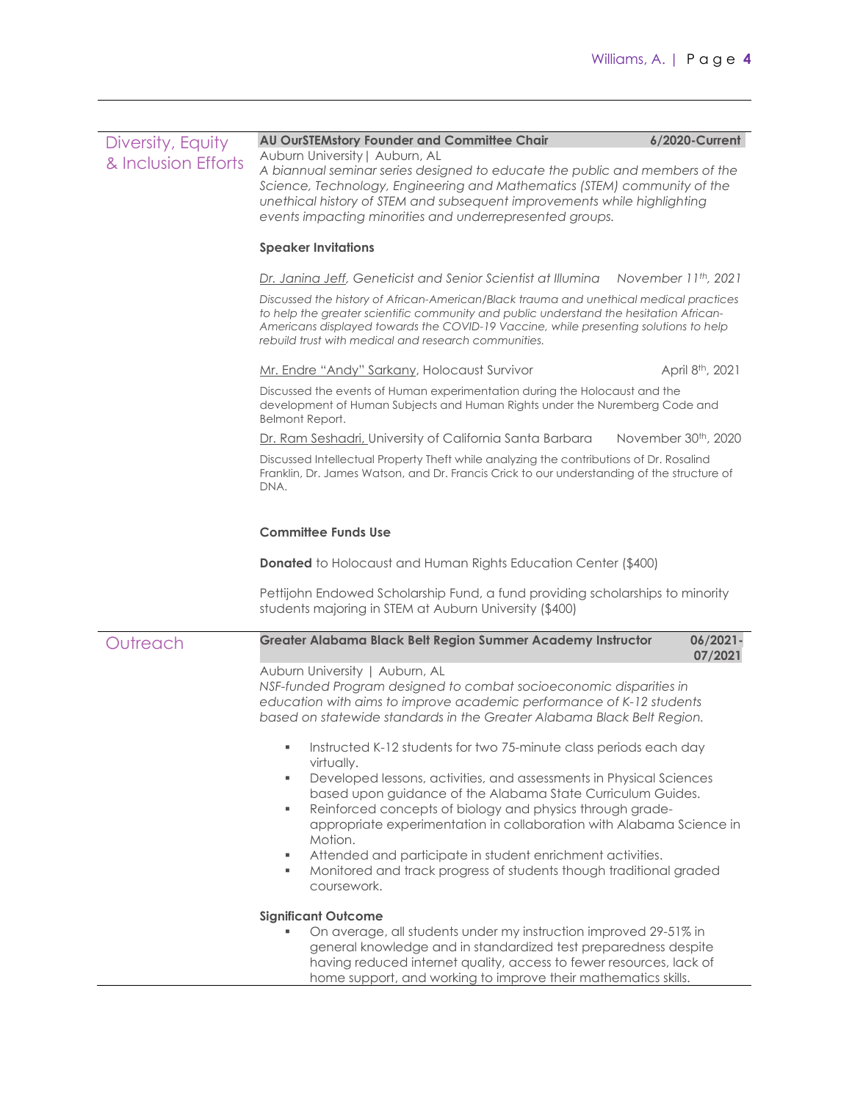| Diversity, Equity   | AU OurSTEMstory Founder and Committee Chair                                                                                                                                                                                                                                                                                                                                                                                                                 | 6/2020-Current                   |  |  |  |  |
|---------------------|-------------------------------------------------------------------------------------------------------------------------------------------------------------------------------------------------------------------------------------------------------------------------------------------------------------------------------------------------------------------------------------------------------------------------------------------------------------|----------------------------------|--|--|--|--|
| & Inclusion Efforts | Auburn University   Auburn, AL<br>A biannual seminar series designed to educate the public and members of the<br>Science, Technology, Engineering and Mathematics (STEM) community of the<br>unethical history of STEM and subsequent improvements while highlighting<br>events impacting minorities and underrepresented groups.                                                                                                                           |                                  |  |  |  |  |
|                     | <b>Speaker Invitations</b>                                                                                                                                                                                                                                                                                                                                                                                                                                  |                                  |  |  |  |  |
|                     | Dr. Janina Jeff, Geneticist and Senior Scientist at Illumina                                                                                                                                                                                                                                                                                                                                                                                                | November 11th, 2021              |  |  |  |  |
|                     | Discussed the history of African-American/Black trauma and unethical medical practices<br>to help the greater scientific community and public understand the hesitation African-<br>Americans displayed towards the COVID-19 Vaccine, while presenting solutions to help<br>rebuild trust with medical and research communities.                                                                                                                            |                                  |  |  |  |  |
|                     | Mr. Endre "Andy" Sarkany, Holocaust Survivor                                                                                                                                                                                                                                                                                                                                                                                                                | April 8 <sup>th</sup> , 2021     |  |  |  |  |
|                     | Discussed the events of Human experimentation during the Holocaust and the<br>development of Human Subjects and Human Rights under the Nuremberg Code and<br>Belmont Report.                                                                                                                                                                                                                                                                                |                                  |  |  |  |  |
|                     | Dr. Ram Seshadri, University of California Santa Barbara                                                                                                                                                                                                                                                                                                                                                                                                    | November 30 <sup>th</sup> , 2020 |  |  |  |  |
|                     | Discussed Intellectual Property Theft while analyzing the contributions of Dr. Rosalind<br>Franklin, Dr. James Watson, and Dr. Francis Crick to our understanding of the structure of<br>DNA.                                                                                                                                                                                                                                                               |                                  |  |  |  |  |
|                     | <b>Committee Funds Use</b>                                                                                                                                                                                                                                                                                                                                                                                                                                  |                                  |  |  |  |  |
|                     | <b>Donated</b> to Holocaust and Human Rights Education Center (\$400)                                                                                                                                                                                                                                                                                                                                                                                       |                                  |  |  |  |  |
|                     | Pettijohn Endowed Scholarship Fund, a fund providing scholarships to minority<br>students majoring in STEM at Auburn University (\$400)                                                                                                                                                                                                                                                                                                                     |                                  |  |  |  |  |
| Outreach            | Greater Alabama Black Belt Region Summer Academy Instructor                                                                                                                                                                                                                                                                                                                                                                                                 | $06/2021 -$<br>07/2021           |  |  |  |  |
|                     | Auburn University   Auburn, AL<br>NSF-funded Program designed to combat socioeconomic disparities in<br>education with aims to improve academic performance of K-12 students<br>based on statewide standards in the Greater Alabama Black Belt Region.                                                                                                                                                                                                      |                                  |  |  |  |  |
|                     | Instructed K-12 students for two 75-minute class periods each day<br>virtually.                                                                                                                                                                                                                                                                                                                                                                             |                                  |  |  |  |  |
|                     | Developed lessons, activities, and assessments in Physical Sciences<br>٠,<br>based upon guidance of the Alabama State Curriculum Guides.<br>Reinforced concepts of biology and physics through grade-<br>٠<br>appropriate experimentation in collaboration with Alabama Science in<br>Motion.<br>Attended and participate in student enrichment activities.<br>٠,<br>Monitored and track progress of students though traditional graded<br>٠<br>coursework. |                                  |  |  |  |  |
|                     | <b>Significant Outcome</b>                                                                                                                                                                                                                                                                                                                                                                                                                                  |                                  |  |  |  |  |
|                     | On average, all students under my instruction improved 29-51% in<br>general knowledge and in standardized test preparedness despite<br>having reduced internet quality, access to fewer resources, lack of<br>home support, and working to improve their mathematics skills.                                                                                                                                                                                |                                  |  |  |  |  |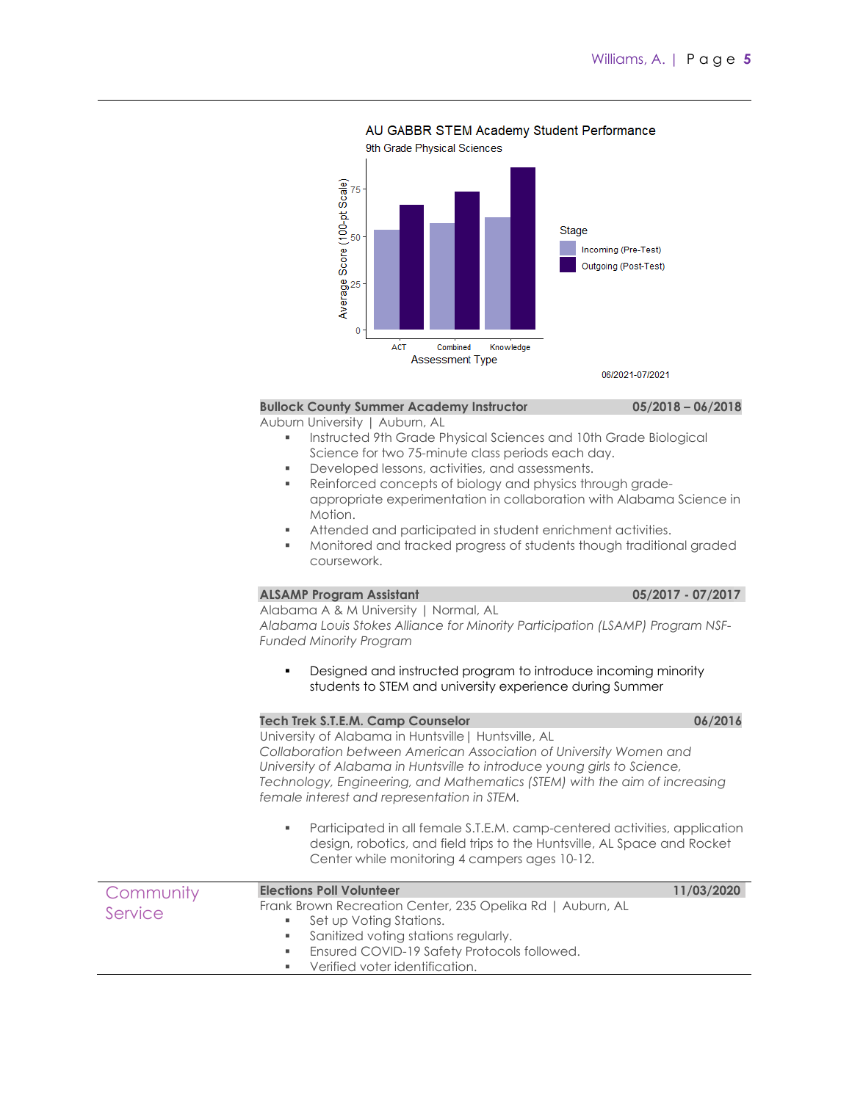#### AU GABBR STEM Academy Student Performance

9th Grade Physical Sciences Score (100-pt Scale) 75 Stage 50 Incoming (Pre-Test) Outgoing (Post-Test) Average<sup>S</sup>  $\mathbf{0}$ **ACT** Combined Knowledge **Assessment Type** 06/2021-07/2021

#### **Bullock County Summer Academy Instructor 05/2018 – 06/2018**

Auburn University | Auburn, AL

- Instructed 9th Grade Physical Sciences and 10th Grade Biological Science for two 75-minute class periods each day.
- **•** Developed lessons, activities, and assessments.
- Reinforced concepts of biology and physics through gradeappropriate experimentation in collaboration with Alabama Science in Motion.
- Attended and participated in student enrichment activities.
- Monitored and tracked progress of students though traditional graded coursework.

## **ALSAMP Program Assistant 05/2017 - 07/2017**

#### Alabama A & M University | Normal, AL

*Alabama Louis Stokes Alliance for Minority Participation (LSAMP) Program NSF-Funded Minority Program*

 Designed and instructed program to introduce incoming minority students to STEM and university experience during Summer

#### **Tech Trek S.T.E.M. Camp Counselor 06/2016**

University of Alabama in Huntsville| Huntsville, AL *Collaboration between American Association of University Women and University of Alabama in Huntsville to introduce young girls to Science, Technology, Engineering, and Mathematics (STEM) with the aim of increasing female interest and representation in STEM.*

 Participated in all female S.T.E.M. camp-centered activities, application design, robotics, and field trips to the Huntsville, AL Space and Rocket Center while monitoring 4 campers ages 10-12.

| Community | <b>Elections Poll Volunteer</b>                                     | 11/03/2020 |
|-----------|---------------------------------------------------------------------|------------|
| Service   | Frank Brown Recreation Center, 235 Opelika Rd   Auburn, AL          |            |
|           | ■ Set up Voting Stations.<br>• Sanitized voting stations regularly. |            |
|           | <b>Ensured COVID-19 Safety Protocols followed.</b>                  |            |
|           | Verified voter identification.                                      |            |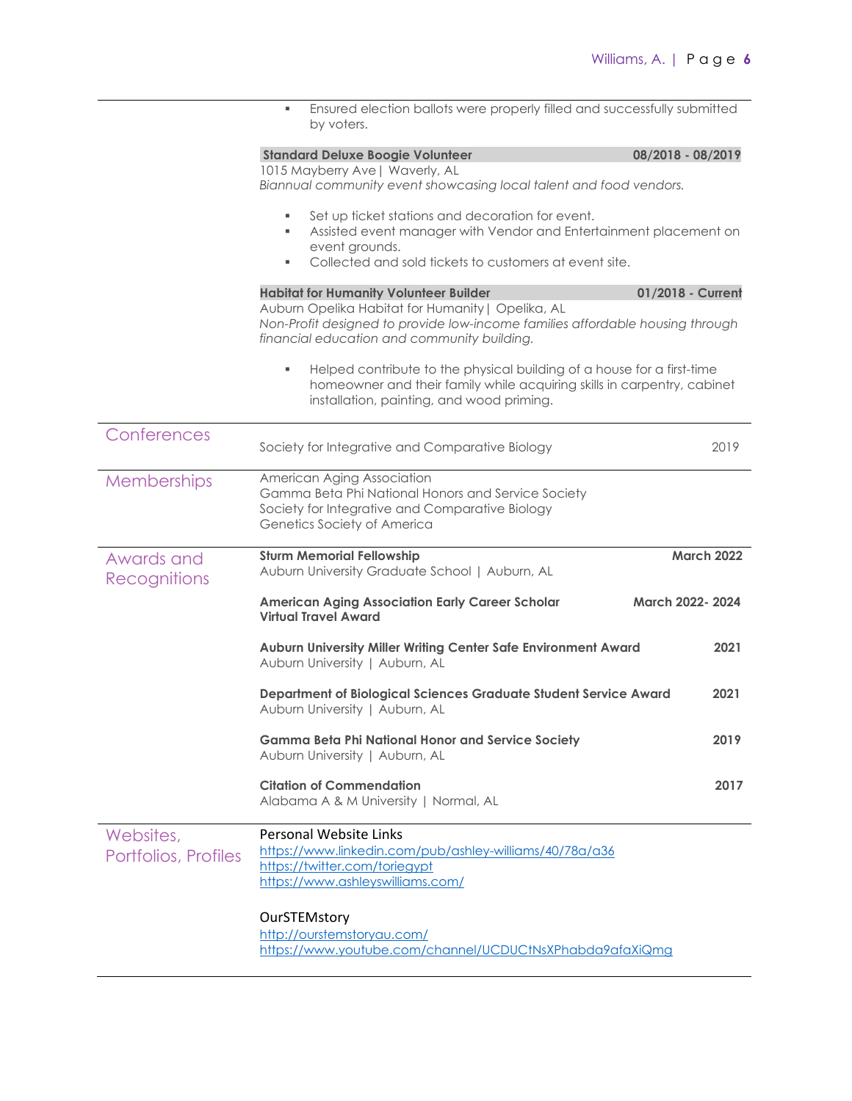|                                   | Ensured election ballots were properly filled and successfully submitted<br>by voters.                                                                                                                      |                   |
|-----------------------------------|-------------------------------------------------------------------------------------------------------------------------------------------------------------------------------------------------------------|-------------------|
|                                   | <b>Standard Deluxe Boogie Volunteer</b><br>1015 Mayberry Ave   Waverly, AL<br>Biannual community event showcasing local talent and food vendors.                                                            | 08/2018 - 08/2019 |
|                                   | Set up ticket stations and decoration for event.<br>٠<br>Assisted event manager with Vendor and Entertainment placement on<br>event grounds.<br>Collected and sold tickets to customers at event site.<br>٠ |                   |
|                                   | <b>Habitat for Humanity Volunteer Builder</b>                                                                                                                                                               | 01/2018 - Current |
|                                   | Auburn Opelika Habitat for Humanity   Opelika, AL<br>Non-Profit designed to provide low-income families affordable housing through<br>financial education and community building.                           |                   |
|                                   | Helped contribute to the physical building of a house for a first-time<br>homeowner and their family while acquiring skills in carpentry, cabinet<br>installation, painting, and wood priming.              |                   |
| Conferences                       | Society for Integrative and Comparative Biology                                                                                                                                                             | 2019              |
| Memberships                       | American Aging Association<br>Gamma Beta Phi National Honors and Service Society<br>Society for Integrative and Comparative Biology<br>Genetics Society of America                                          |                   |
| Awards and<br>Recognitions        | <b>Sturm Memorial Fellowship</b><br>Auburn University Graduate School   Auburn, AL                                                                                                                          | <b>March 2022</b> |
|                                   | <b>American Aging Association Early Career Scholar</b><br><b>Virtual Travel Award</b>                                                                                                                       | March 2022-2024   |
|                                   | Auburn University Miller Writing Center Safe Environment Award<br>Auburn University   Auburn, AL                                                                                                            | 2021              |
|                                   | Department of Biological Sciences Graduate Student Service Award<br>Auburn University   Auburn, AL                                                                                                          | 2021              |
|                                   | <b>Gamma Beta Phi National Honor and Service Society</b><br>Auburn University   Auburn, AL                                                                                                                  | 2019              |
|                                   | <b>Citation of Commendation</b><br>Alabama A & M University   Normal, AL                                                                                                                                    | 2017              |
| Websites,<br>Portfolios, Profiles | Personal Website Links<br>https://www.linkedin.com/pub/ashley-williams/40/78a/a36<br>https://twitter.com/toriegypt<br>https://www.ashleyswilliams.com/                                                      |                   |
|                                   | OurSTEMstory<br>http://ourstemstoryau.com/<br>https://www.youtube.com/channel/UCDUCtNsXPhabda9afaXiQmg                                                                                                      |                   |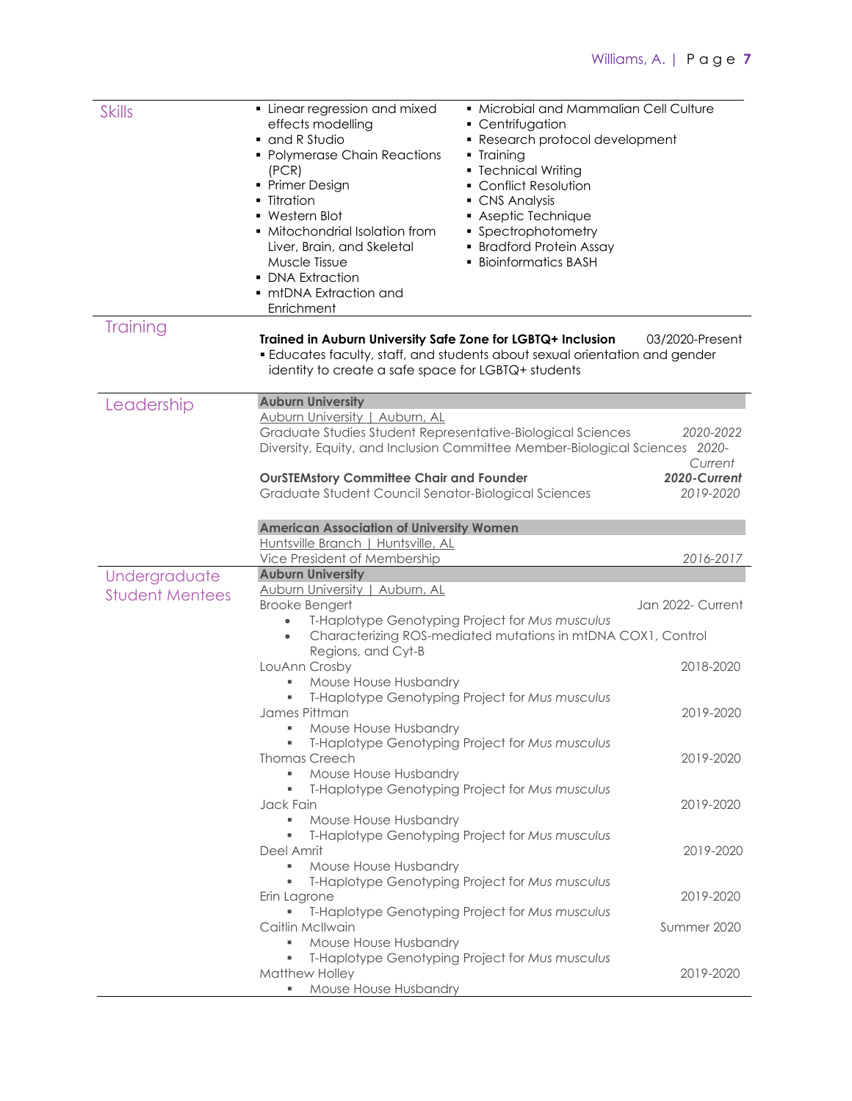| <b>Skills</b>          | • Linear regression and mixed<br>effects modelling<br>• Centrifugation<br>• and R Studio<br>• Polymerase Chain Reactions<br>• Training<br>• Technical Writing<br>(PCR)<br>• Primer Design<br>• Conflict Resolution<br>• Titration<br>• CNS Analysis<br>• Western Blot<br>Aseptic Technique<br>• Mitochondrial Isolation from<br>• Spectrophotometry<br>Liver, Brain, and Skeletal<br>• Bradford Protein Assay<br><b>Bioinformatics BASH</b><br>Muscle Tissue<br><b>DNA Extraction</b><br>• mtDNA Extraction and<br>Enrichment | • Microbial and Mammalian Cell Culture<br>• Research protocol development |
|------------------------|-------------------------------------------------------------------------------------------------------------------------------------------------------------------------------------------------------------------------------------------------------------------------------------------------------------------------------------------------------------------------------------------------------------------------------------------------------------------------------------------------------------------------------|---------------------------------------------------------------------------|
| Training               | Trained in Auburn University Safe Zone for LGBTQ+ Inclusion<br><b>Educates faculty, staff, and students about sexual orientation and gender</b><br>identity to create a safe space for LGBTQ+ students                                                                                                                                                                                                                                                                                                                        | 03/2020-Present                                                           |
| Leadership             | <b>Auburn University</b>                                                                                                                                                                                                                                                                                                                                                                                                                                                                                                      |                                                                           |
|                        | <b>Auburn University   Auburn, AL</b><br>Graduate Studies Student Representative-Biological Sciences<br>Diversity, Equity, and Inclusion Committee Member-Biological Sciences 2020-                                                                                                                                                                                                                                                                                                                                           | 2020-2022<br>Current                                                      |
|                        | <b>OurSTEMstory Committee Chair and Founder</b><br>Graduate Student Council Senator-Biological Sciences                                                                                                                                                                                                                                                                                                                                                                                                                       | 2020-Current<br>2019-2020                                                 |
|                        | <b>American Association of University Women</b>                                                                                                                                                                                                                                                                                                                                                                                                                                                                               |                                                                           |
|                        | Huntsville Branch   Huntsville, AL                                                                                                                                                                                                                                                                                                                                                                                                                                                                                            |                                                                           |
|                        | Vice President of Membership                                                                                                                                                                                                                                                                                                                                                                                                                                                                                                  | 2016-2017                                                                 |
| Undergraduate          | <b>Auburn University</b>                                                                                                                                                                                                                                                                                                                                                                                                                                                                                                      |                                                                           |
| <b>Student Mentees</b> | Auburn University   Auburn, AL                                                                                                                                                                                                                                                                                                                                                                                                                                                                                                |                                                                           |
|                        | <b>Brooke Bengert</b><br>T-Haplotype Genotyping Project for Mus musculus<br>Characterizing ROS-mediated mutations in mtDNA COX1, Control<br>$\bullet$                                                                                                                                                                                                                                                                                                                                                                         | Jan 2022- Current                                                         |
|                        | Regions, and Cyt-B                                                                                                                                                                                                                                                                                                                                                                                                                                                                                                            |                                                                           |
|                        | LouAnn Crosby<br>Mouse House Husbandry<br>٠                                                                                                                                                                                                                                                                                                                                                                                                                                                                                   | 2018-2020                                                                 |
|                        | T-Haplotype Genotyping Project for Mus musculus                                                                                                                                                                                                                                                                                                                                                                                                                                                                               |                                                                           |
|                        | James Pittman                                                                                                                                                                                                                                                                                                                                                                                                                                                                                                                 | 2019-2020                                                                 |
|                        | Mouse House Husbandry                                                                                                                                                                                                                                                                                                                                                                                                                                                                                                         |                                                                           |
|                        | T-Haplotype Genotyping Project for Mus musculus                                                                                                                                                                                                                                                                                                                                                                                                                                                                               |                                                                           |
|                        | <b>Thomas Creech</b><br>Mouse House Husbandry<br>٠                                                                                                                                                                                                                                                                                                                                                                                                                                                                            | 2019-2020                                                                 |
|                        | T-Haplotype Genotyping Project for Mus musculus<br>٠                                                                                                                                                                                                                                                                                                                                                                                                                                                                          |                                                                           |
|                        | Jack Fain                                                                                                                                                                                                                                                                                                                                                                                                                                                                                                                     | 2019-2020                                                                 |
|                        | Mouse House Husbandry<br>٠                                                                                                                                                                                                                                                                                                                                                                                                                                                                                                    |                                                                           |
|                        | T-Haplotype Genotyping Project for Mus musculus                                                                                                                                                                                                                                                                                                                                                                                                                                                                               |                                                                           |
|                        | Deel Amrit<br>Mouse House Husbandry<br>٠,                                                                                                                                                                                                                                                                                                                                                                                                                                                                                     | 2019-2020                                                                 |
|                        | T-Haplotype Genotyping Project for Mus musculus                                                                                                                                                                                                                                                                                                                                                                                                                                                                               |                                                                           |
|                        | Erin Lagrone                                                                                                                                                                                                                                                                                                                                                                                                                                                                                                                  | 2019-2020                                                                 |
|                        | T-Haplotype Genotyping Project for Mus musculus                                                                                                                                                                                                                                                                                                                                                                                                                                                                               |                                                                           |
|                        | Caitlin McIlwain                                                                                                                                                                                                                                                                                                                                                                                                                                                                                                              | Summer 2020                                                               |
|                        | Mouse House Husbandry<br>٠<br>T-Haplotype Genotyping Project for Mus musculus<br>٠                                                                                                                                                                                                                                                                                                                                                                                                                                            |                                                                           |
|                        | Matthew Holley                                                                                                                                                                                                                                                                                                                                                                                                                                                                                                                | 2019-2020                                                                 |
|                        | Mouse House Husbandry<br>$\mathbf{m}_{\mathrm{eff}}$                                                                                                                                                                                                                                                                                                                                                                                                                                                                          |                                                                           |